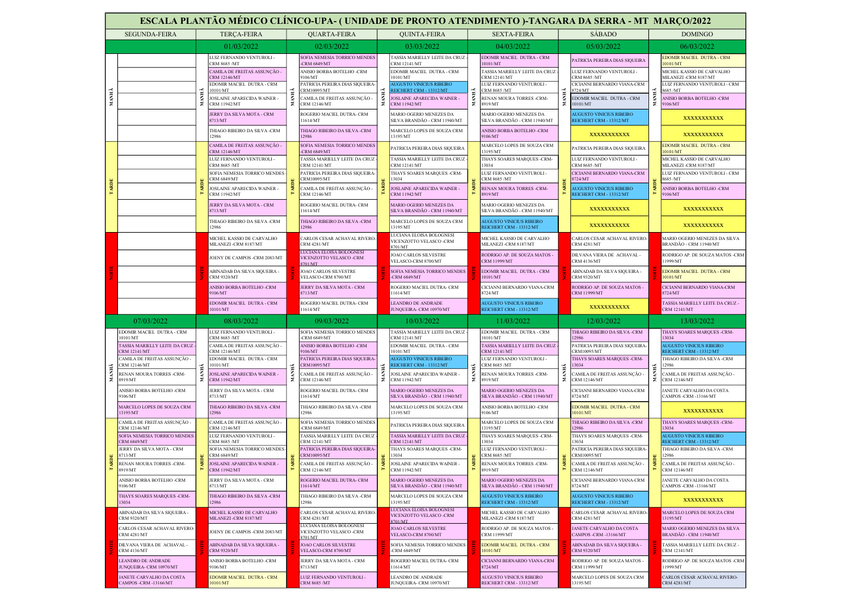|       | ESCALA PLANTÃO MÉDICO CLÍNICO-UPA- (UNIDADE DE PRONTO ATENDIMENTO )-TANGARA DA SERRA - MT MARÇO/2022 |       |                                                           |                                         |                                                                |                                                                                                                                                                                                                                           |                                                                |                                                            |                                                            |                                                    |                                                                   |                                                         |                                                         |
|-------|------------------------------------------------------------------------------------------------------|-------|-----------------------------------------------------------|-----------------------------------------|----------------------------------------------------------------|-------------------------------------------------------------------------------------------------------------------------------------------------------------------------------------------------------------------------------------------|----------------------------------------------------------------|------------------------------------------------------------|------------------------------------------------------------|----------------------------------------------------|-------------------------------------------------------------------|---------------------------------------------------------|---------------------------------------------------------|
|       | <b>SEGUNDA-FEIRA</b>                                                                                 |       | <b>TERÇA-FEIRA</b>                                        |                                         | <b>QUARTA-FEIRA</b>                                            |                                                                                                                                                                                                                                           | <b>OUINTA-FEIRA</b>                                            |                                                            | <b>SEXTA-FEIRA</b>                                         |                                                    | <b>SABADO</b>                                                     |                                                         | <b>DOMINGO</b>                                          |
|       |                                                                                                      |       | 01/03/2022                                                |                                         | 02/03/2022                                                     |                                                                                                                                                                                                                                           | 03/03/2022                                                     |                                                            | 04/03/2022                                                 |                                                    | 05/03/2022                                                        |                                                         | 06/03/2022                                              |
|       |                                                                                                      |       | LUIZ FERNANDO VENTUROLI -                                 |                                         | SOFIA NEMESIA TORRICO MENDES                                   |                                                                                                                                                                                                                                           | TASSIA MARIELLY LEITE DA CRUZ -                                |                                                            | EDOMIR MACIEL DUTRA - CRM                                  |                                                    | PATRICIA PEREIRA DIAS SIQUEIRA                                    |                                                         | <b>EDOMIR MACIEL DUTRA - CRM</b>                        |
|       |                                                                                                      |       | CRM 8685 /MT<br>CAMILA DE FREITAS ASSUNÇÃO -              |                                         | <b>CRM 6849/MT</b><br>ANISIO BORBA BOTELHO -CRM                |                                                                                                                                                                                                                                           | CRM 12141/MT<br>EDOMIR MACIEL DUTRA - CRM                      |                                                            | 10101/MT<br>TASSIA MARIELLY LEITE DA CRUZ                  |                                                    | LUIZ FERNANDO VENTUROLI -                                         |                                                         | 0101/MT<br>MICHEL KASSIO DE CARVALHO                    |
|       |                                                                                                      |       | <b>CRM 12146/MT</b><br>EDOMIR MACIEL DUTRA - CRM          |                                         | 106/MT<br><b>PATRICIA PEREIRA DIAS SIQUEIRA-</b>               | 10101/MT<br><b>UGUSTO VINICIUS RIBEIRO</b><br>REICHERT CRM - 13312/MT<br>MANHÃ<br>JOSLAINE APARECIDA WAINER -<br><b>CRM 11942/MT</b><br>MARIO OGERIO MENEZES DA<br>SILVA BRANDÃO - CRM 11940/MT<br>MARCELO LOPES DE SOUZA CRM<br>13195/MT |                                                                | <b>CRM 12141/MT</b><br>LUIZ FERNANDO VENTUROLI -           |                                                            | <b>CRM 8685 /MT</b><br>CICIANNI BERNARDO VIANA-CRM |                                                                   | MILANEZI-CRM 8187/MT<br>LUIZ FERNANDO VENTUROLI - CRM   |                                                         |
| MANHÃ |                                                                                                      |       | 10101/MT<br>JOSLAINE APARECIDA WAINER -                   |                                         | RM10095/MT                                                     |                                                                                                                                                                                                                                           |                                                                | CRM 8685 /MT<br>RENAN MOURA TORRES -CRM-                   |                                                            | 724/MT<br>EDOMIR MACIEL DUTRA - CRM                |                                                                   | 8685 /MT<br>ANISIO BORBA BOTELHO -CRM                   |                                                         |
|       |                                                                                                      | MANHÃ | <b>CRM 11942/MT</b>                                       |                                         | 'AMILA DE FREITAS ASSUNÇÃO -<br>RM 12146/MT                    |                                                                                                                                                                                                                                           |                                                                |                                                            | 8919/MT                                                    |                                                    | 0101/MT                                                           | <b>NAN</b>                                              | 9106/MT                                                 |
|       |                                                                                                      |       | JERRY DA SILVA MOTA - CRM<br>8713/MT                      |                                         | ROGERIO MACIEL DUTRA- CRM<br>1614/MT                           |                                                                                                                                                                                                                                           | MARIO OGERIO MENEZES DA<br>SILVA BRANDÃO - CRM 11940/MT        | <b>AUGUSTO VINICIUS RIBEIRO</b><br>REICHERT CRM - 13312/MT |                                                            | XXXXXXXXXX                                         |                                                                   |                                                         |                                                         |
|       |                                                                                                      |       | THIAGO RIBEIRO DA SILVA -CRM<br>12986                     |                                         | THIAGO RIBEIRO DA SILVA -CRM<br>12986                          |                                                                                                                                                                                                                                           | ANISIO BORBA BOTELHO -CRM<br>9106/MT                           |                                                            | XXXXXXXXXX                                                 |                                                    | XXXXXXXXXX                                                        |                                                         |                                                         |
|       |                                                                                                      |       | CAMILA DE FREITAS ASSUNÇÃO -                              |                                         | SOFIA NEMESIA TORRICO MENDES<br><b>CRM 6849/MT</b>             |                                                                                                                                                                                                                                           | PATRICIA PEREIRA DIAS SIQUEIRA                                 | MARCELO LOPES DE SOUZA CRM<br>13195/MT                     |                                                            | PATRICIA PEREIRA DIAS SIQUEIRA                     |                                                                   | <b>EDOMIR MACIEL DUTRA - CRM</b><br>0101/MT             |                                                         |
|       |                                                                                                      |       | CRM 12146/MT<br>LUIZ FERNANDO VENTUROLI -                 |                                         | <b>TASSIA MARIELLY LEITE DA CRUZ</b>                           |                                                                                                                                                                                                                                           | <b>FASSIA MARIELLY LEITE DA CRUZ</b>                           |                                                            | THAYS SOARES MARQUES -CRM-                                 |                                                    | LUIZ FERNANDO VENTUROLI -                                         |                                                         | MICHEL KASSIO DE CARVALHO                               |
|       |                                                                                                      |       | CRM 8685 /MT<br>SOFIA NEMESIA TORRICO MENDES              |                                         | CRM 12141/MT<br><b>PATRICIA PEREIRA DIAS SIOUEIRA-</b>         |                                                                                                                                                                                                                                           | CRM 12141/MT<br>THAYS SOARES MAROUES -CRM-                     | 13034<br>LUIZ FERNANDO VENTUROLI -                         |                                                            | CRM 8685 /MT<br>CICIANNI BERNARDO VIANA-CRM        |                                                                   | MILANEZI-CRM 8187/MT<br>LUIZ FERNANDO VENTUROLI - CRM   |                                                         |
| TARDE |                                                                                                      |       | <b>CRM 6849/MT</b><br>JOSLAINE APARECIDA WAINER           |                                         | <b>RM10095/MT</b><br>CAMILA DE FREITAS ASSUNÇÃO -              | 13034<br>JOSLAINE APARECIDA WAINER -                                                                                                                                                                                                      |                                                                | CRM 8685 /MT<br>RENAN MOURA TORRES -CRM-                   |                                                            | 3724/MT<br><b>AUGUSTO VINICIUS RIBEIRO</b>         |                                                                   | 8685 /MT<br>ANISIO BORBA BOTELHO -CRM                   |                                                         |
|       |                                                                                                      |       | <b>CRM 11942/MT</b><br>JERRY DA SILVA MOTA - CRM          |                                         | CRM 12146/MT<br>ROGERIO MACIEL DUTRA- CRM                      |                                                                                                                                                                                                                                           | <b>CRM 11942/MT</b><br><b>MARIO OGERIO MENEZES DA</b>          |                                                            | 8919/MT<br><b>MARIO OGERIO MENEZES DA</b>                  |                                                    | REICHERT CRM - 13312/MT                                           |                                                         | 9106/MT                                                 |
|       |                                                                                                      |       | 8713/MT                                                   |                                         | 1614/MT                                                        |                                                                                                                                                                                                                                           | SILVA BRANDÃO - CRM 11940/MT                                   |                                                            | SILVA BRANDÃO - CRM 11940/MT                               |                                                    | XXXXXXXXXX                                                        |                                                         | XXXXXXXXXX                                              |
|       |                                                                                                      |       | THIAGO RIBEIRO DA SILVA -CRM<br>12986                     |                                         | THIAGO RIBEIRO DA SILVA -CRM<br>12986                          |                                                                                                                                                                                                                                           | MARCELO LOPES DE SOUZA CRM<br>13195/MT                         |                                                            | AUGUSTO VINICIUS RIBEIRO<br>REICHERT CRM - 13312/MT        |                                                    | XXXXXXXXXX                                                        |                                                         | XXXXXXXXXX                                              |
|       |                                                                                                      |       | MICHEL KASSIO DE CARVALHO<br>MILANEZI-CRM 8187/MT         |                                         | CARLOS CESAR ACHAVAL RIVERO-<br><b>CRM 4281/MT</b>             | LUCIANA ELOISA BOLOGNESI<br>VICENZOTTO VELASCO -CRM<br>8701/MT<br>JOAO CARLOS SILVESTRE<br>VELASCO-CRM 8700/MT                                                                                                                            |                                                                | MICHEL KASSIO DE CARVALHO<br>MILANEZI-CRM 8187/MT          |                                                            | CARLOS CESAR ACHAVAL RIVERO-<br><b>CRM 4281/MT</b> |                                                                   | MARIO OGERIO MENEZES DA SILVA<br>BRANDÃO - CRM 11940/MT |                                                         |
|       |                                                                                                      |       | JOENY DE CAMPOS -CRM 2083/MT                              |                                         | LUCIANA ELOISA BOLOGNESI<br>VICENZOTTO VELASCO-CRM<br>8701/MT  |                                                                                                                                                                                                                                           |                                                                |                                                            | RODRIGO AP. DE SOUZA MATOS -<br><b>CRM 11999/MT</b>        |                                                    | DILVANA VIERA DE ACHAVAL -<br><b>CRM 4136/MT</b>                  |                                                         | RODRIGO AP. DE SOUZA MATOS -CRM<br>1999/MT              |
|       |                                                                                                      |       | ABINADAB DA SILVA SIQUEIRA -<br><b>CRM 9320/MT</b>        |                                         | JOAO CARLOS SILVESTRE<br>VELASCO-CRM 8700/MT                   |                                                                                                                                                                                                                                           | SOFIA NEMESIA TORRICO MENDES<br>-CRM 6849/MT                   |                                                            | EDOMIR MACIEL DUTRA - CRM<br>10101/MT                      |                                                    | ABINADAB DA SILVA SIQUEIRA -<br><b>CRM 9320/MT</b>                |                                                         | EDOMIR MACIEL DUTRA - CRM<br>10101/MT                   |
|       |                                                                                                      |       | ANISIO BORBA BOTELHO -CRM<br>9106/MT                      |                                         | JERRY DA SILVA MOTA - CRM<br>8713/MT                           | ROGERIO MACIEL DUTRA- CRM<br>1614/MT                                                                                                                                                                                                      | CICIANNI BERNARDO VIANA-CRM<br>8724/MT                         |                                                            | RODRIGO AP. DE SOUZA MATOS -<br><b>CRM 11999/MT</b>        |                                                    | CICIANNI BERNARDO VIANA-CRM<br>8724/MT                            |                                                         |                                                         |
|       |                                                                                                      |       | EDOMIR MACIEL DUTRA - CRM<br>10101/MT                     |                                         | ROGERIO MACIEL DUTRA- CRM<br>11614/MT                          |                                                                                                                                                                                                                                           | <b>LEANDRO DE ANDRADE</b><br>JUNQUEIRA- CRM 10970/MT           |                                                            | <b>AUGUSTO VINICIUS RIBEIRO</b><br>REICHERT CRM - 13312/MT |                                                    | XXXXXXXXXX                                                        |                                                         | TASSIA MARIELLY LEITE DA CRUZ -<br><b>CRM 12141/MT</b>  |
|       | 07/03/2022                                                                                           |       | 08/03/2022                                                |                                         | 09/03/2022                                                     |                                                                                                                                                                                                                                           | 10/03/2022                                                     |                                                            | 11/03/2022                                                 |                                                    | 12/03/2022                                                        |                                                         | 13/03/2022                                              |
|       | EDOMIR MACIEL DUTRA - CRM<br>10101/MT                                                                |       | LUIZ FERNANDO VENTUROLI -<br>CRM 8685 /MT                 |                                         | SOFIA NEMESIA TORRICO MENDES<br><b>CRM 6849/MT</b>             |                                                                                                                                                                                                                                           | TASSIA MARIELLY LEITE DA CRUZ<br>CRM 12141/MT                  |                                                            | EDOMIR MACIEL DUTRA - CRM<br>10101/MT                      |                                                    | THIAGO RIBEIRO DA SILVA -CRM<br>12986                             |                                                         | THAYS SOARES MARQUES -CRM-<br>13034                     |
|       | TASSIA MARIELLY LEITE DA CRUZ<br>CRM 12141/MT                                                        |       | CAMILA DE FREITAS ASSUNÇÃO -<br>CRM 12146/MT              |                                         | ANISIO BORBA BOTELHO -CRM<br>106/MT                            | EDOMIR MACIEL DUTRA - CRM<br>10101/MT                                                                                                                                                                                                     | TASSIA MARIELLY LEITE DA CRUZ<br>CRM 12141/MT                  |                                                            | PATRICIA PEREIRA DIAS SIQUEIRA<br>CRM10095/MT              |                                                    | <b>AUGUSTO VINICIUS RIBEIRO</b><br><b>REICHERT CRM - 13312/MT</b> |                                                         |                                                         |
|       | CAMILA DE FREITAS ASSUNÇÃO -<br>CRM 12146/MT                                                         |       | EDOMIR MACIEL DUTRA - CRM<br>10101/MT                     |                                         | PATRICIA PEREIRA DIAS SIQUEIRA-<br>RM10095/MT                  |                                                                                                                                                                                                                                           | <b>UGUSTO VINICIUS RIBEIRO</b><br>REICHERT CRM - 13312/MT      |                                                            | LUIZ FERNANDO VENTUROLI -<br>CRM 8685 /MT                  |                                                    | <b>THAYS SOARES MARQUES -CRM-</b><br>3034                         |                                                         | THIAGO RIBEIRO DA SILVA -CRM<br>2986                    |
| МАНІА | RENAN MOURA TORRES -CRM-                                                                             | МАNНА | <b>JOSLAINE APARECIDA WAINER -</b><br><b>CRM 11942/MT</b> | ÷                                       | 'AMILA DE FREITAS ASSUNÇÃO -                                   | MAN<br>JOSLAINE APARECIDA WAINER -<br>z.<br>CRM 11942/MT<br>MARIO OGERIO MENEZES DA                                                                                                                                                       |                                                                | RENAN MOURA TORRES -CRM-                                   | ž.<br>8919/MT<br>SILVA BRANDÃO - CRM 11940/MT              | CAMILA DE FREITAS ASSUNÇÃO -                       |                                                                   | CAMILA DE FREITAS ASSUNÇÃO -                            |                                                         |
|       | 8919/MT<br>ANISIO BORBA BOTELHO -CRM                                                                 |       | JERRY DA SILVA MOTA - CRM                                 |                                         | CRM 12146/MT<br>ROGERIO MACIEL DUTRA- CRM                      |                                                                                                                                                                                                                                           |                                                                | MARIO OGERIO MENEZES DA                                    |                                                            |                                                    | CRM 12146/MT<br>CICIANNI BERNARDO VIANA-CRM                       |                                                         | CRM 12146/MT<br>JANETE CARVALHO DA COSTA                |
|       | 0106/MT<br>MARCELO LOPES DE SOUZA CRM                                                                |       | 8713/MT<br>THIAGO RIBEIRO DA SILVA -CRM                   | 1614/MT<br>THIAGO RIBEIRO DA SILVA -CRM |                                                                | SILVA BRANDÃO - CRM 11940/MT<br>MARCELO LOPES DE SOUZA CRM                                                                                                                                                                                |                                                                | ANISIO BORBA BOTELHO -CRM                                  |                                                            | 3724/MT<br><b>EDOMIR MACIEL DUTRA - CRM</b>        |                                                                   | CAMPOS -CRM -13166/MT                                   |                                                         |
|       | 13195/MT<br>CAMILA DE FREITAS ASSUNÇÃO -                                                             |       | 12986<br>CAMILA DE FREITAS ASSUNCÃO -                     |                                         | 2986<br>SOFIA NEMESIA TORRICO MENDES                           | 13195/MT<br>PATRICIA PEREIRA DIAS SIQUEIRA                                                                                                                                                                                                |                                                                | 9106/MT<br>MARCELO LOPES DE SOUZA CRM                      |                                                            | 0101/MT<br>THIAGO RIBEIRO DA SILVA -CRM            |                                                                   | XXXXXXXXXX<br>THAYS SOARES MARQUES -CRM-                |                                                         |
|       | CRM 12146/MT<br>SOFIA NEMESIA TORRICO MENDES                                                         |       | CRM 12146/MT<br>LUIZ FERNANDO VENTUROLI -                 |                                         | <b>CRM 6849/MT</b><br>TASSIA MARIELLY LEITE DA CRUZ            | TASSIA MARIELLY LEITE DA CRUZ<br><b>CRM 12141/MT</b><br>THAYS SOARES MAROUES -CRM-<br>13034<br>JOSLAINE APARECIDA WAINER -                                                                                                                | 13195/MT<br>THAYS SOARES MARQUES -CRM-                         |                                                            | 12986<br>THAYS SOARES MARQUES -CRM-                        |                                                    | 13034<br><b>AUGUSTO VINICIUS RIBEIRO</b>                          |                                                         |                                                         |
|       | <b>CRM 6849/MT</b><br>JERRY DA SILVA MOTA - CRM                                                      |       | CRM 8685 /MT<br>SOFIA NEMESIA TORRICO MENDES              |                                         | <b>CRM 12141/MT</b><br>PATRICIA PEREIRA DIAS SIOUEIRA-         |                                                                                                                                                                                                                                           | 13034<br>LUIZ FERNANDO VENTUROLI -                             |                                                            | 13034<br>PATRICIA PEREIRA DIAS SIOUEIRA                    |                                                    | REICHERT CRM - 13312/MT<br>THIAGO RIBEIRO DA SILVA -CRM           |                                                         |                                                         |
|       | 8713/MT                                                                                              |       | <b>CRM 6849/MT</b><br>JOSLAINE APARECIDA WAINER -         |                                         | RM10095/MT<br>CAMILA DE FREITAS ASSUNÇÃO -                     |                                                                                                                                                                                                                                           | CRM 8685 /MT<br>RENAN MOURA TORRES -CRM-                       |                                                            | CRM10095/MT<br>CAMILA DE FREITAS ASSUNÇÃO -                |                                                    | 12986<br>CAMILA DE FREITAS ASSUNÇÃO -                             |                                                         |                                                         |
|       | RENAN MOURA TORRES -CRM-                                                                             |       | <b>CRM 11942/MT</b>                                       |                                         | <b>CRM 12146/MT</b><br>ROGERIO MACIEL DUTRA- CRM               |                                                                                                                                                                                                                                           | CRM 11942/MT                                                   |                                                            | 8919/MT<br><b>MARIO OGERIO MENEZES DA</b>                  |                                                    | CRM 12146/MT<br>CICIANNI BERNARDO VIANA-CRM                       |                                                         | <b>CRM 12146/MT</b><br>JANETE CARVALHO DA COSTA         |
|       | 8919/MT                                                                                              |       |                                                           |                                         |                                                                |                                                                                                                                                                                                                                           | MARIO OGERIO MENEZES DA<br>SILVA BRANDÃO - CRM 11940/MT        | SILVA BRANDÃO - CRM 11940/MT                               |                                                            | 8724/MT                                            |                                                                   | CAMPOS -CRM -13166/MT                                   |                                                         |
|       | ANISIO BORBA BOTELHO -CRM<br>9106/MT                                                                 |       | JERRY DA SILVA MOTA - CRM<br>8713/MT                      |                                         | 11614/MT                                                       |                                                                                                                                                                                                                                           |                                                                |                                                            |                                                            |                                                    | <b>AUGUSTO VINICIUS RIBEIRO</b>                                   |                                                         |                                                         |
|       | THAYS SOARES MARQUES -CRM-<br>13034                                                                  |       | THIAGO RIBEIRO DA SILVA -CRM<br>12986                     |                                         | <b>THIAGO RIBEIRO DA SILVA -CRM</b><br>2986                    |                                                                                                                                                                                                                                           | MARCELO LOPES DE SOUZA CRM<br>3195/MT                          |                                                            | <b>AUGUSTO VINICIUS RIBEIRO</b><br>REICHERT CRM - 13312/MT |                                                    | REICHERT CRM - 13312/MT                                           |                                                         | XXXXXXXXXX                                              |
|       | ABINADAB DA SILVA SIQUEIRA -<br><b>CRM 9320/MT</b>                                                   |       | MICHEL KASSIO DE CARVALHO<br>MILANEZI-CRM 8187/MT         |                                         | CARLOS CESAR ACHAVAL RIVERO-<br><b>CRM 4281/MT</b>             |                                                                                                                                                                                                                                           | LUCIANA ELOISA BOLOGNESI<br>VICENZOTTO VELASCO -CRM<br>8701/MT |                                                            | MICHEL KASSIO DE CARVALHO<br>MILANEZI-CRM 8187/MT          |                                                    | CARLOS CESAR ACHAVAL RIVERO-<br><b>CRM 4281/MT</b>                |                                                         | MARCELO LOPES DE SOUZA CRM<br>13195/MT                  |
|       | CARLOS CESAR ACHAVAL RIVERO-<br><b>CRM 4281/MT</b>                                                   |       | JOENY DE CAMPOS -CRM 2083/MT                              |                                         | LUCIANA ELOISA BOLOGNESI<br>VICENZOTTO VELASCO -CRM<br>8701/MT |                                                                                                                                                                                                                                           | JOAO CARLOS SILVESTRE<br>VELASCO-CRM 8700/MT                   |                                                            | RODRIGO AP. DE SOUZA MATOS -<br><b>CRM 11999/MT</b>        |                                                    | JANETE CARVALHO DA COSTA<br>CAMPOS -CRM -13166/MT                 |                                                         | MARIO OGERIO MENEZES DA SILVA<br>BRANDÃO - CRM 11940/MT |
| TARDE | DILVANA VIERA DE ACHAVAL -<br><b>CRM 4136/MT</b>                                                     |       | ABINADAB DA SILVA SIQUEIRA -<br><b>CRM 9320/MT</b>        |                                         | JOAO CARLOS SILVESTRE<br>VELASCO-CRM 8700/MT                   |                                                                                                                                                                                                                                           | SOFIA NEMESIA TORRICO MENDES<br>-CRM 6849/MT                   |                                                            | <b>EDOMIR MACIEL DUTRA - CRM</b><br>10101/MT               |                                                    | ABINADAB DA SILVA SIQUEIRA -<br><b>CRM 9320/MT</b>                |                                                         | TASSIA MARIELLY LEITE DA CRUZ -<br><b>CRM 12141/MT</b>  |
|       | <b>LEANDRO DE ANDRADE</b><br>JUNQUEIRA- CRM 10970/MT                                                 |       | ANISIO BORBA BOTELHO -CRM<br>9106/MT                      |                                         | JERRY DA SILVA MOTA - CRM<br>8713/MT                           |                                                                                                                                                                                                                                           | ROGERIO MACIEL DUTRA- CRM<br>1614/MT                           |                                                            | CICIANNI BERNARDO VIANA-CRM<br>8724/MT                     |                                                    | RODRIGO AP. DE SOUZA MATOS -<br>CRM 11999/MT                      |                                                         | RODRIGO AP. DE SOUZA MATOS -CRM<br>11999/MT             |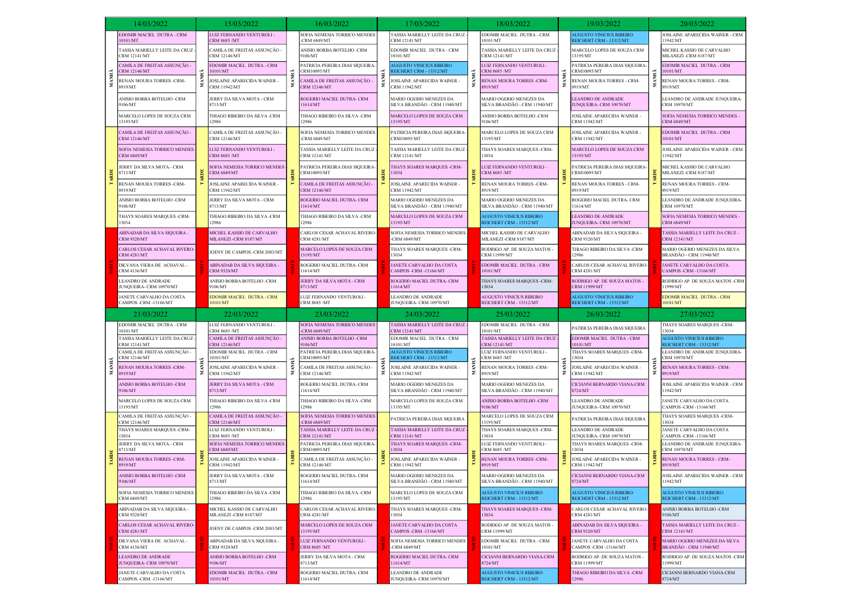|              | 14/03/2022                                                                       |     | 15/03/2022                                                                |  | 16/03/2022                                                             |                                                                                                                                                                                                                             | 17/03/2022                                                                     |                                                    | 18/03/2022                                                                 | 19/03/2022                                                                   |                                                   | 20/03/2022                                                                                        |
|--------------|----------------------------------------------------------------------------------|-----|---------------------------------------------------------------------------|--|------------------------------------------------------------------------|-----------------------------------------------------------------------------------------------------------------------------------------------------------------------------------------------------------------------------|--------------------------------------------------------------------------------|----------------------------------------------------|----------------------------------------------------------------------------|------------------------------------------------------------------------------|---------------------------------------------------|---------------------------------------------------------------------------------------------------|
|              | EDOMIR MACIEL DUTRA - CRM<br>10101/MT                                            |     | LUIZ FERNANDO VENTUROLI -<br>CRM 8685 /MT                                 |  | SOFIA NEMESIA TORRICO MENDES<br><b>CRM 6849/MT</b>                     |                                                                                                                                                                                                                             | TASSIA MARIELLY LEITE DA CRUZ -<br>CRM 12141/MT                                |                                                    | EDOMIR MACIEL DUTRA - CRM<br>10101/MT                                      | <b>AUGUSTO VINICIUS RIBEIRO</b><br>REICHERT CRM - 13312/MT                   |                                                   | JOSLAINE APARECIDA WAINER - CRM<br>1942/MT                                                        |
|              | TASSIA MARIELLY LEITE DA CRUZ<br>CRM 12141/MT                                    |     | CAMILA DE FREITAS ASSUNÇÃO -<br>CRM 12146/MT                              |  | ANISIO BORBA BOTELHO -CRM<br>9106/MT                                   | EDOMIR MACIEL DUTRA - CRM<br>10101/MT<br><b><i>NUGUSTO VINICIUS RIBEIRO</i></b><br>REICHERT CRM - 13312/MT<br>JOSLAINE APARECIDA WAINER -<br><b>CRM 11942/MT</b><br>MARIO OGERIO MENEZES DA<br>SILVA BRANDÃO - CRM 11940/MT |                                                                                | TASSIA MARIELLY LEITE DA CRUZ-<br>CRM 12141/MT     | MARCELO LOPES DE SOUZA CRM<br>13195/MT                                     |                                                                              | MICHEL KASSIO DE CARVALHO<br>MILANEZI-CRM 8187/MT |                                                                                                   |
|              | CAMILA DE FREITAS ASSUNÇÃO -<br>CRM 12146/MT                                     |     | EDOMIR MACIEL DUTRA - CRM<br>10101/MT                                     |  | PATRICIA PEREIRA DIAS SIQUEIRA-<br>RM10095/MT                          |                                                                                                                                                                                                                             |                                                                                |                                                    | LUIZ FERNANDO VENTUROLI -<br>CRM 8685 /MT                                  | PATRICIA PEREIRA DIAS SIQUEIRA-<br>CRM10095/MT                               |                                                   | EDOMIR MACIEL DUTRA - CRM<br>10101/MT                                                             |
| MANHÃ        | RENAN MOURA TORRES -CRM-<br>8919/MT                                              | MAN | JOSLAINE APARECIDA WAINER<br>CRM 11942/MT                                 |  | CAMILA DE FREITAS ASSUNÇÃO -<br>CRM 12146/MT                           |                                                                                                                                                                                                                             |                                                                                |                                                    | RENAN MOURA TORRES -CRM-<br>8919/MT                                        | RENAN MOURA TORRES - CRM-<br>8919/MT                                         |                                                   | RENAN MOURA TORRES - CRM-<br>8919/MT                                                              |
|              | ANISIO BORBA BOTELHO -CRM<br>9106/MT                                             |     | JERRY DA SILVA MOTA - CRM<br>8713/MT                                      |  | ROGERIO MACIEL DUTRA- CRM<br>11614/MT                                  |                                                                                                                                                                                                                             | MARIO OGERIO MENEZES DA<br>SILVA BRANDÃO - CRM 11940/MT                        | <b>EANDRO DE ANDRADE</b><br>UNQUEIRA- CRM 10970/MT |                                                                            | EANDRO DE ANDRADE JUNQUEIRA-<br>CRM 10970/MT                                 |                                                   |                                                                                                   |
|              | MARCELO LOPES DE SOUZA CRM<br>13195/MT                                           |     | THIAGO RIBEIRO DA SILVA -CRM<br>12986                                     |  | <b>THIAGO RIBEIRO DA SILVA -CRM</b><br>2986                            |                                                                                                                                                                                                                             | MARCELO LOPES DE SOUZA CRM<br>13195/MT                                         |                                                    | ANISIO BORBA BOTELHO -CRM<br>9106/MT                                       | OSLAINE APARECIDA WAINER<br><b>CRM 11942/MT</b>                              |                                                   | SOFIA NEMESIA TORRICO MENDES -<br><b>CRM 6849/MT</b>                                              |
|              | CAMILA DE FREITAS ASSUNÇÃO -<br>CRM 12146/MT                                     |     | CAMILA DE FREITAS ASSUNÇÃO -<br>CRM 12146/MT                              |  | SOFIA NEMESIA TORRICO MENDES<br><b>CRM 6849/MT</b>                     |                                                                                                                                                                                                                             | PATRICIA PEREIRA DIAS SIQUEIRA<br>CRM10095/MT                                  |                                                    | MARCELO LOPES DE SOUZA CRM<br>13195/MT                                     | OSLAINE APARECIDA WAINER -<br>CRM 11942/MT                                   |                                                   | EDOMIR MACIEL DUTRA - CRM<br>10101/MT                                                             |
|              | SOFIA NEMESIA TORRICO MENDES<br><b>CRM 6849/MT</b>                               |     | LUIZ FERNANDO VENTUROLI -<br>CRM 8685 /MT                                 |  | ASSIA MARIELLY LEITE DA CRUZ<br>CRM 12141/MT                           |                                                                                                                                                                                                                             | TASSIA MARIELLY LEITE DA CRUZ<br>CRM 12141/MT                                  | THAYS SOARES MARQUES -CRM-<br>13034                | MARCELO LOPES DE SOUZA CRM<br>3195/MT                                      |                                                                              | JOSLAINE APARECIDA WAINER - CRM<br>11942/MT       |                                                                                                   |
| <b>TARDE</b> | JERRY DA SILVA MOTA - CRM<br>3713/MT                                             |     | SOFIA NEMESIA TORRICO MENDES<br><b>CRM 6849/MT</b>                        |  | ATRICIA PEREIRA DIAS SIQUEIRA<br>RM10095/MT                            | THAYS SOARES MARQUES -CRM-<br>13034<br>JOSLAINE APARECIDA WAINER -<br><b>CRM 11942/MT</b>                                                                                                                                   |                                                                                |                                                    | LUIZ FERNANDO VENTUROLI -<br>CRM 8685 /MT                                  | PATRICIA PEREIRA DIAS SIQUEIRA<br>CRM10095/MT                                |                                                   | MICHEL KASSIO DE CARVALHO<br>MILANEZI -CRM 8187/MT                                                |
|              | RENAN MOURA TORRES -CRM-<br>8919/MT                                              |     | JOSLAINE APARECIDA WAINER -<br>CRM 11942/MT                               |  | CAMILA DE FREITAS ASSUNÇÃO -<br>CRM 12146/MT                           |                                                                                                                                                                                                                             | RENAN MOURA TORRES -CRM-<br>8919/MT                                            | RENAN MOURA TORRES - CRM-<br>8919/MT               |                                                                            | RENAN MOURA TORRES - CRM-<br>8919/MT                                         |                                                   |                                                                                                   |
|              | ANISIO BORBA BOTELHO -CRM<br>9106/MT                                             |     | JERRY DA SILVA MOTA - CRM<br>8713/MT                                      |  | ROGERIO MACIEL DUTRA- CRM<br>1614/MT                                   |                                                                                                                                                                                                                             | MARIO OGERIO MENEZES DA<br>SILVA BRANDÃO - CRM 11940/MT                        |                                                    | MARIO OGERIO MENEZES DA<br>SILVA BRANDÃO - CRM 11940/MT                    | ROGERIO MACIEL DUTRA- CRM<br>1614/MT                                         |                                                   | EANDRO DE ANDRADE JUNQUEIRA-<br>CRM 10970/MT                                                      |
|              | THAYS SOARES MARQUES -CRM-<br>13034                                              |     | THIAGO RIBEIRO DA SILVA -CRM<br>12986                                     |  | THIAGO RIBEIRO DA SILVA -CRM<br>2986                                   |                                                                                                                                                                                                                             | MARCELO LOPES DE SOUZA CRM<br>13195/MT                                         |                                                    | AUGUSTO VINICIUS RIBEIRO<br>REICHERT CRM - 13312/MT                        | <b>LEANDRO DE ANDRADE</b><br>UNQUEIRA- CRM 10970/MT                          |                                                   | SOFIA NEMESIA TORRICO MENDES -<br><b>CRM 6849/MT</b>                                              |
|              | ABINADAB DA SILVA SIQUEIRA -<br><b>CRM 9320/MT</b>                               |     | MICHEL KASSIO DE CARVALHO<br>MILANEZI -CRM 8187/MT                        |  | CARLOS CESAR ACHAVAL RIVERO-<br><b>CRM 4281/MT</b>                     |                                                                                                                                                                                                                             | SOFIA NEMESIA TORRICO MENDES<br>-CRM $6849/MT$                                 |                                                    | MICHEL KASSIO DE CARVALHO<br>MILANEZI-CRM 8187/MT                          | ABINADAB DA SILVA SIQUEIRA ·<br>CRM 9320/MT                                  |                                                   | TASSIA MARIELLY LEITE DA CRUZ -<br>CRM 12141/MT                                                   |
|              | CARLOS CESAR ACHAVAL RIVERO-<br><b>CRM 4281/MT</b>                               |     | JOENY DE CAMPOS -CRM 2083/MT                                              |  | MARCELO LOPES DE SOUZA CRM<br>13195/MT                                 | THAYS SOARES MARQUES -CRM-<br>13034<br>JANETE CARVALHO DA COSTA<br>CAMPOS -CRM -13166/MT<br>ROGERIO MACIEL DUTRA- CRM<br>11614/MT                                                                                           | RODRIGO AP. DE SOUZA MATOS -<br>CRM 11999/MT                                   | <b>THIAGO RIBEIRO DA SILVA -CRM</b><br>12986       |                                                                            | MARIO OGERIO MENEZES DA SILVA<br>BRANDÃO - CRM 11940/MT                      |                                                   |                                                                                                   |
|              | DILVANA VIERA DE ACHAVAL -<br><b>CRM 4136/MT</b>                                 |     | ABINADAB DA SILVA SIQUEIRA -<br><b>CRM 9320/MT</b>                        |  | ROGERIO MACIEL DUTRA- CRM<br>11614/MT                                  |                                                                                                                                                                                                                             | EDOMIR MACIEL DUTRA - CRM<br>10101/MT                                          | CARLOS CESAR ACHAVAL RIVERO-<br>CRM 4281/MT        |                                                                            | JANETE CARVALHO DA COSTA<br>CAMPOS -CRM -13166/MT                            |                                                   |                                                                                                   |
|              | <b>EANDRO DE ANDRADE</b><br>JUNQUEIRA- CRM 10970/MT                              |     | ANISIO BORBA BOTELHO -CRM<br>9106/MT                                      |  | JERRY DA SILVA MOTA - CRM<br>8713/MT                                   |                                                                                                                                                                                                                             | THAYS SOARES MARQUES -CRM-<br>13034                                            | RODRIGO AP. DE SOUZA MATOS -<br>CRM 11999/MT       |                                                                            | RODRIGO AP. DE SOUZA MATOS -CRM<br>1999/MT                                   |                                                   |                                                                                                   |
|              | JANETE CARVALHO DA COSTA<br>CAMPOS -CRM -13166/MT                                |     | EDOMIR MACIEL DUTRA - CRM<br>10101/MT                                     |  | LUIZ FERNANDO VENTUROLI -<br>CRM 8685 /MT                              |                                                                                                                                                                                                                             | LEANDRO DE ANDRADE<br>JUNQUEIRA- CRM 10970/MT                                  |                                                    | AUGUSTO VINICIUS RIBEIRO<br>REICHERT CRM - 13312/MT                        | AUGUSTO VINICIUS RIBEIRO<br>REICHERT CRM - 13312/MT                          |                                                   | EDOMIR MACIEL DUTRA - CRM<br>10101/MT                                                             |
|              |                                                                                  |     |                                                                           |  |                                                                        |                                                                                                                                                                                                                             |                                                                                |                                                    |                                                                            |                                                                              |                                                   |                                                                                                   |
|              | 21/03/2022                                                                       |     | 22/03/2022                                                                |  | 23/03/2022                                                             |                                                                                                                                                                                                                             | 24/03/2022                                                                     |                                                    | 25/03/2022                                                                 | 26/03/2022                                                                   |                                                   | 27/03/2022                                                                                        |
|              | EDOMIR MACIEL DUTRA - CRM<br>0101/MT                                             |     | LUIZ FERNANDO VENTUROLI -<br>CRM 8685 /MT                                 |  | SOFIA NEMESIA TORRICO MENDES<br><b>CRM 6849/MT</b>                     |                                                                                                                                                                                                                             | TASSIA MARIELLY LEITE DA CRUZ<br>CRM 12141/MT                                  |                                                    | EDOMIR MACIEL DUTRA - CRM<br>10101/MT                                      | PATRICIA PEREIRA DIAS SIQUEIRA                                               |                                                   | THAYS SOARES MARQUES -CRM-<br>3034                                                                |
|              | TASSIA MARIELLY LEITE DA CRUZ<br>CRM 12141/MT<br>CAMILA DE FREITAS ASSUNÇÃO -    |     | CAMILA DE FREITAS ASSUNÇÃO -<br>CRM 12146/MT<br>EDOMIR MACIEL DUTRA - CRM |  | ANISIO BORBA BOTELHO -CRM<br>106/MT<br>PATRICIA PEREIRA DIAS SIQUEIRA- |                                                                                                                                                                                                                             | EDOMIR MACIEL DUTRA - CRM<br>0101/MT<br><b><i>NUGUSTO VINICIUS RIBEIRO</i></b> |                                                    | TASSIA MARIELLY LEITE DA CRUZ<br>CRM 12141/MT<br>LUIZ FERNANDO VENTUROLI - | EDOMIR MACIEL DUTRA - CRM<br>0101/MT<br>THAYS SOARES MARQUES -CRM-           |                                                   | <b>AUGUSTO VINICIUS RIBEIRO</b><br><b>REICHERT CRM - 13312/MT</b><br>EANDRO DE ANDRADE JUNQUEIRA- |
| MANHÃ        | CRM 12146/MT<br>RENAN MOURA TORRES -CRM-<br>8919/MT                              | MAN | 10101/MT<br>JOSLAINE APARECIDA WAINER -<br>CRM 11942/MT                   |  | RM10095/MT<br>'AMILA DE FREITAS ASSUNÇÃO -<br>RM 12146/MT              |                                                                                                                                                                                                                             | REICHERT CRM - 13312/MT<br>JOSLAINE APARECIDA WAINER -<br>CRM 11942/MT         | MANI                                               | CRM 8685 /MT<br>RENAN MOURA TORRES -CRM-<br>8919/MT                        | 13034<br>JOSLAINE APARECIDA WAINER -<br>CRM 11942/MT                         | MAN                                               | <b>RM 10970/MT</b><br>RENAN MOURA TORRES - CRM-<br>8919/MT                                        |
|              | ANISIO BORBA BOTELHO -CRM<br>9106/MT                                             |     | JERRY DA SILVA MOTA - CRM<br>8713/MT                                      |  | ROGERIO MACIEL DUTRA- CRM<br>1614/MT                                   |                                                                                                                                                                                                                             | MARIO OGERIO MENEZES DA<br>SILVA BRANDÃO - CRM 11940/MT                        |                                                    | MARIO OGERIO MENEZES DA<br>SILVA BRANDÃO - CRM 11940/MT                    | CICIANNI BERNARDO VIANA-CRM<br>8724/MT                                       |                                                   | JOSLAINE APARECIDA WAINER - CRM<br>1942/MT                                                        |
|              | MARCELO LOPES DE SOUZA CRM<br>13195/MT                                           |     | THIAGO RIBEIRO DA SILVA -CRM<br>12986                                     |  | THIAGO RIBEIRO DA SILVA -CRM<br>2986                                   |                                                                                                                                                                                                                             | MARCELO LOPES DE SOUZA CRM<br>13195/MT                                         |                                                    | ANISIO BORBA BOTELHO -CRM<br>9106/MT                                       | <b>EANDRO DE ANDRADE</b><br>JUNQUEIRA- CRM 10970/MT                          |                                                   | JANETE CARVALHO DA COSTA<br>CAMPOS -CRM -13166/MT                                                 |
|              | `AMILA DE FREITAS ASSUNÇÃO -<br>CRM 12146/MT                                     |     | CAMILA DE FREITAS ASSUNÇÃO -<br><b>CRM 12146/MT</b>                       |  | SOFIA NEMESIA TORRICO MENDES<br><b>CRM 6849/MT</b>                     |                                                                                                                                                                                                                             | PATRICIA PEREIRA DIAS SIQUEIRA                                                 |                                                    | MARCELO LOPES DE SOUZA CRM<br>13195/MT                                     | <b>PATRICIA PEREIRA DIAS SIQUEIRA</b>                                        |                                                   | THAYS SOARES MARQUES -CRM-                                                                        |
|              | THAYS SOARES MARQUES -CRM-<br>13034                                              |     | LUIZ FERNANDO VENTUROLI -<br>CRM 8685 /MT                                 |  | TASSIA MARIELLY LEITE DA CRUZ<br><b>CRM 12141/MT</b>                   |                                                                                                                                                                                                                             | TASSIA MARIELLY LEITE DA CRUZ<br><b>CRM 12141/MT</b>                           |                                                    | THAYS SOARES MARQUES -CRM-<br>13034                                        | LEANDRO DE ANDRADE<br>UNQUEIRA- CRM 10970/MT                                 |                                                   | JANETE CARVALHO DA COSTA<br>CAMPOS -CRM -13166/MT                                                 |
|              | JERRY DA SILVA MOTA - CRM<br>8713/MT                                             |     | SOFIA NEMESIA TORRICO MENDES<br><b>CRM 6849/MT</b>                        |  | ATRICIA PEREIRA DIAS SIQUEIRA-<br><b>RM10095/MT</b>                    |                                                                                                                                                                                                                             | THAYS SOARES MARQUES -CRM-<br>13034                                            |                                                    | LUIZ FERNANDO VENTUROLI -<br><b>CRM 8685 /MT</b>                           | THAYS SOARES MARQUES -CRM-<br>3034                                           |                                                   | LEANDRO DE ANDRADE JUNQUEIRA-<br>CRM 10970/MT                                                     |
| TARDE        | RENAN MOURA TORRES -CRM-<br>8919/MT                                              |     | JOSLAINE APARECIDA WAINER -<br>CRM 11942/MT                               |  | 'AMILA DE FREITAS ASSUNÇÃO -<br>RM 12146/MT                            |                                                                                                                                                                                                                             | JOSLAINE APARECIDA WAINER -<br>CRM 11942/MT                                    |                                                    | RENAN MOURA TORRES -CRM-<br>8919/MT                                        | JOSLAINE APARECIDA WAINER -<br>CRM 11942/MT                                  |                                                   | RENAN MOURA TORRES - CRM-<br>8919/MT                                                              |
|              | ANISIO BORBA BOTELHO -CRM<br>9106/MT                                             |     | JERRY DA SILVA MOTA - CRM<br>8713/MT                                      |  | ROGERIO MACIEL DUTRA- CRM<br>11614/MT                                  |                                                                                                                                                                                                                             | MARIO OGERIO MENEZES DA<br>SILVA BRANDÃO - CRM 11940/MT                        |                                                    | MARIO OGERIO MENEZES DA<br>SILVA BRANDÃO - CRM 11940/MT                    | CICIANNI BERNARDO VIANA-CRM<br>8724/MT                                       |                                                   | JOSLAINE APARECIDA WAINER - CRM<br>1942/MT                                                        |
|              | SOFIA NEMESIA TORRICO MENDES<br><b>CRM 6849/MT</b>                               |     | THIAGO RIBEIRO DA SILVA -CRM<br>12986                                     |  | THIAGO RIBEIRO DA SILVA -CRM<br>2986                                   |                                                                                                                                                                                                                             | MARCELO LOPES DE SOUZA CRM<br>3195/MT                                          |                                                    | <b>AUGUSTO VINICIUS RIBEIRO</b><br>REICHERT CRM - 13312/MT                 | <b>AUGUSTO VINICIUS RIBEIRO</b><br>REICHERT CRM - 13312/MT                   |                                                   | <b>AUGUSTO VINICIUS RIBEIRO</b><br>REICHERT CRM - 13312/MT                                        |
|              | ABINADAB DA SILVA SIOUEIRA -<br><b>CRM 9320/MT</b>                               |     | MICHEL KASSIO DE CARVALHO<br>MILANEZI-CRM 8187/MT                         |  | CARLOS CESAR ACHAVAL RIVERO-<br><b>CRM 4281/MT</b>                     |                                                                                                                                                                                                                             | THAYS SOARES MARQUES -CRM-<br>13034                                            |                                                    | THAYS SOARES MARQUES -CRM-<br>13034                                        | CARLOS CESAR ACHAVAL RIVERO-<br><b>CRM 4281/MT</b>                           |                                                   | ANISIO BORBA BOTELHO -CRM<br>9106/MT                                                              |
|              | CARLOS CESAR ACHAVAL RIVERO-<br><b>CRM 4281/MT</b>                               |     | JOENY DE CAMPOS -CRM 2083/MT                                              |  | MARCELO LOPES DE SOUZA CRM<br>13195/MT                                 |                                                                                                                                                                                                                             | JANETE CARVALHO DA COSTA<br>CAMPOS -CRM -13166/MT                              |                                                    | RODRIGO AP. DE SOUZA MATOS -<br><b>CRM 11999/MT</b>                        | ABINADAB DA SILVA SIQUEIRA -<br><b>CRM 9320/MT</b>                           |                                                   | TASSIA MARIELLY LEITE DA CRUZ -<br>CRM 12141/MT                                                   |
|              | DILVANA VIERA DE ACHAVAL -<br><b>CRM 4136/MT</b>                                 |     | ABINADAB DA SILVA SIQUEIRA -<br><b>CRM 9320/MT</b>                        |  | LUIZ FERNANDO VENTUROLI -<br><b>CRM 8685 /MT</b>                       |                                                                                                                                                                                                                             | SOFIA NEMESIA TORRICO MENDES<br>-CRM $6849/MT$                                 |                                                    | EDOMIR MACIEL DUTRA - CRM<br>10101/MT                                      | JANETE CARVALHO DA COSTA<br>CAMPOS -CRM -13166/MT                            |                                                   | MARIO OGERIO MENEZES DA SILVA<br>BRANDÃO - CRM 11940/MT                                           |
|              | <b>LEANDRO DE ANDRADE</b><br>JUNQUEIRA- CRM 10970/MT<br>JANETE CARVALHO DA COSTA |     | ANISIO BORBA BOTELHO -CRM<br>9106/MT<br>EDOMIR MACIEL DUTRA - CRM         |  | JERRY DA SILVA MOTA - CRM<br>8713/MT<br>ROGERIO MACIEL DUTRA- CRM      |                                                                                                                                                                                                                             | ROGERIO MACIEL DUTRA- CRM<br>11614/MT<br>LEANDRO DE ANDRADE                    |                                                    | CICIANNI BERNARDO VIANA-CRM<br>8724/MT<br>AUGUSTO VINICIUS RIBEIRO         | RODRIGO AP. DE SOUZA MATOS -<br>CRM 11999/MT<br>THIAGO RIBEIRO DA SILVA -CRM |                                                   | RODRIGO AP. DE SOUZA MATOS -CRM<br>11999/MT<br>CICIANNI BERNARDO VIANA-CRM                        |